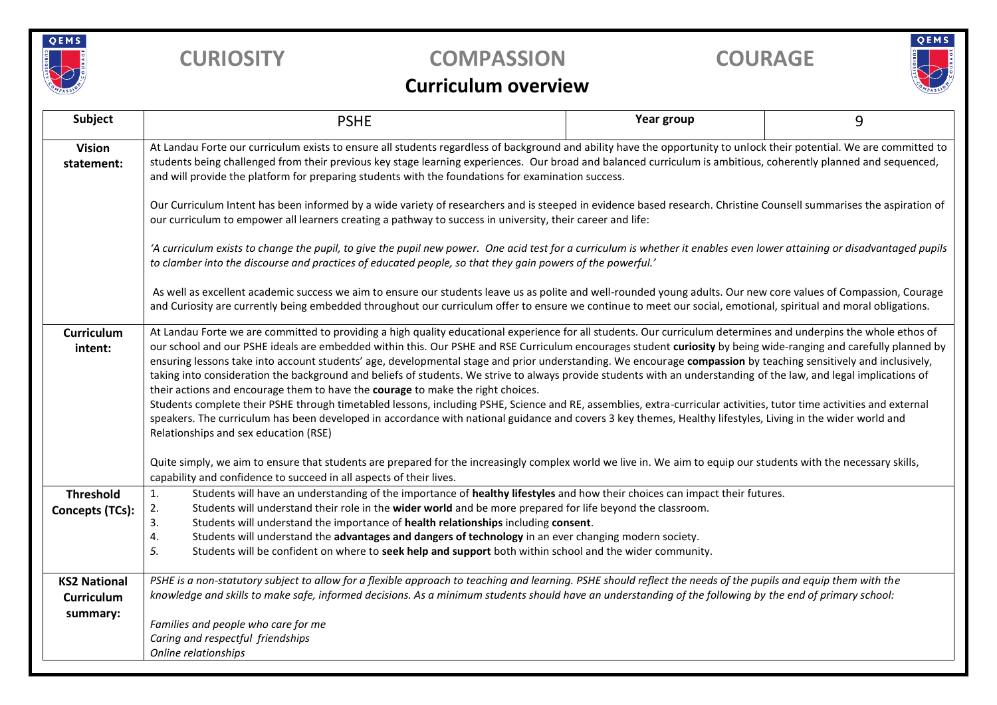

## **CURIOSITY COMPASSION COURAGE**



## **Curriculum overview**

| Subject                     | <b>PSHE</b>                                                                                                                                                                                                                                                                                                                                                                                                                                                                                                                                                                                                                                                                                                                                                                                                                                                                                                                                                                                                                                                                                                                                      | Year group | 9 |  |  |  |  |  |
|-----------------------------|--------------------------------------------------------------------------------------------------------------------------------------------------------------------------------------------------------------------------------------------------------------------------------------------------------------------------------------------------------------------------------------------------------------------------------------------------------------------------------------------------------------------------------------------------------------------------------------------------------------------------------------------------------------------------------------------------------------------------------------------------------------------------------------------------------------------------------------------------------------------------------------------------------------------------------------------------------------------------------------------------------------------------------------------------------------------------------------------------------------------------------------------------|------------|---|--|--|--|--|--|
| <b>Vision</b><br>statement: | At Landau Forte our curriculum exists to ensure all students regardless of background and ability have the opportunity to unlock their potential. We are committed to<br>students being challenged from their previous key stage learning experiences. Our broad and balanced curriculum is ambitious, coherently planned and sequenced,<br>and will provide the platform for preparing students with the foundations for examination success.                                                                                                                                                                                                                                                                                                                                                                                                                                                                                                                                                                                                                                                                                                   |            |   |  |  |  |  |  |
|                             | Our Curriculum Intent has been informed by a wide variety of researchers and is steeped in evidence based research. Christine Counsell summarises the aspiration of<br>our curriculum to empower all learners creating a pathway to success in university, their career and life:                                                                                                                                                                                                                                                                                                                                                                                                                                                                                                                                                                                                                                                                                                                                                                                                                                                                |            |   |  |  |  |  |  |
|                             | 'A curriculum exists to change the pupil, to give the pupil new power. One acid test for a curriculum is whether it enables even lower attaining or disadvantaged pupils<br>to clamber into the discourse and practices of educated people, so that they gain powers of the powerful.'                                                                                                                                                                                                                                                                                                                                                                                                                                                                                                                                                                                                                                                                                                                                                                                                                                                           |            |   |  |  |  |  |  |
|                             | As well as excellent academic success we aim to ensure our students leave us as polite and well-rounded young adults. Our new core values of Compassion, Courage<br>and Curiosity are currently being embedded throughout our curriculum offer to ensure we continue to meet our social, emotional, spiritual and moral obligations.                                                                                                                                                                                                                                                                                                                                                                                                                                                                                                                                                                                                                                                                                                                                                                                                             |            |   |  |  |  |  |  |
| Curriculum<br>intent:       | At Landau Forte we are committed to providing a high quality educational experience for all students. Our curriculum determines and underpins the whole ethos of<br>our school and our PSHE ideals are embedded within this. Our PSHE and RSE Curriculum encourages student curiosity by being wide-ranging and carefully planned by<br>ensuring lessons take into account students' age, developmental stage and prior understanding. We encourage compassion by teaching sensitively and inclusively,<br>taking into consideration the background and beliefs of students. We strive to always provide students with an understanding of the law, and legal implications of<br>their actions and encourage them to have the courage to make the right choices.<br>Students complete their PSHE through timetabled lessons, including PSHE, Science and RE, assemblies, extra-curricular activities, tutor time activities and external<br>speakers. The curriculum has been developed in accordance with national guidance and covers 3 key themes, Healthy lifestyles, Living in the wider world and<br>Relationships and sex education (RSE) |            |   |  |  |  |  |  |
|                             | Quite simply, we aim to ensure that students are prepared for the increasingly complex world we live in. We aim to equip our students with the necessary skills,<br>capability and confidence to succeed in all aspects of their lives.                                                                                                                                                                                                                                                                                                                                                                                                                                                                                                                                                                                                                                                                                                                                                                                                                                                                                                          |            |   |  |  |  |  |  |
| <b>Threshold</b>            | Students will have an understanding of the importance of healthy lifestyles and how their choices can impact their futures.<br>1.                                                                                                                                                                                                                                                                                                                                                                                                                                                                                                                                                                                                                                                                                                                                                                                                                                                                                                                                                                                                                |            |   |  |  |  |  |  |
| Concepts (TCs):             | Students will understand their role in the wider world and be more prepared for life beyond the classroom.<br>2.                                                                                                                                                                                                                                                                                                                                                                                                                                                                                                                                                                                                                                                                                                                                                                                                                                                                                                                                                                                                                                 |            |   |  |  |  |  |  |
|                             | 3.<br>Students will understand the importance of health relationships including consent.<br>4.<br>Students will understand the advantages and dangers of technology in an ever changing modern society.                                                                                                                                                                                                                                                                                                                                                                                                                                                                                                                                                                                                                                                                                                                                                                                                                                                                                                                                          |            |   |  |  |  |  |  |
|                             | 5.<br>Students will be confident on where to seek help and support both within school and the wider community.                                                                                                                                                                                                                                                                                                                                                                                                                                                                                                                                                                                                                                                                                                                                                                                                                                                                                                                                                                                                                                   |            |   |  |  |  |  |  |
| <b>KS2 National</b>         | PSHE is a non-statutory subject to allow for a flexible approach to teaching and learning. PSHE should reflect the needs of the pupils and equip them with the                                                                                                                                                                                                                                                                                                                                                                                                                                                                                                                                                                                                                                                                                                                                                                                                                                                                                                                                                                                   |            |   |  |  |  |  |  |
| Curriculum                  | knowledge and skills to make safe, informed decisions. As a minimum students should have an understanding of the following by the end of primary school:                                                                                                                                                                                                                                                                                                                                                                                                                                                                                                                                                                                                                                                                                                                                                                                                                                                                                                                                                                                         |            |   |  |  |  |  |  |
| summary:                    | Families and people who care for me<br>Caring and respectful friendships<br>Online relationships                                                                                                                                                                                                                                                                                                                                                                                                                                                                                                                                                                                                                                                                                                                                                                                                                                                                                                                                                                                                                                                 |            |   |  |  |  |  |  |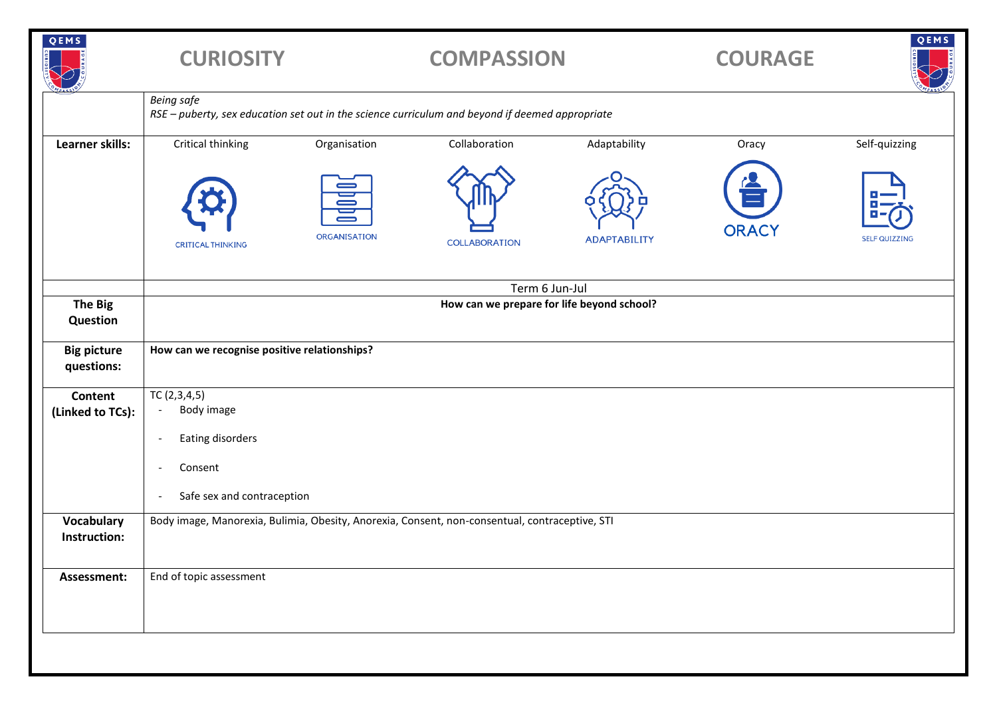| QEMS                             | <b>CURIOSITY</b>                                                                                                     |                          | <b>COMPASSION</b>                                                                              |                     | <b>COURAGE</b> | QEMS                 |  |
|----------------------------------|----------------------------------------------------------------------------------------------------------------------|--------------------------|------------------------------------------------------------------------------------------------|---------------------|----------------|----------------------|--|
|                                  | <b>Being safe</b><br>RSE - puberty, sex education set out in the science curriculum and beyond if deemed appropriate |                          |                                                                                                |                     |                |                      |  |
| <b>Learner skills:</b>           | Critical thinking                                                                                                    | Organisation             | Collaboration                                                                                  | Adaptability        | Oracy          | Self-quizzing        |  |
|                                  | <b>CRITICAL THINKING</b>                                                                                             | 冒<br><b>ORGANISATION</b> | <b>COLLABORATION</b>                                                                           | <b>ADAPTABILITY</b> | <b>ORACY</b>   | <b>SELF QUIZZING</b> |  |
|                                  | Term 6 Jun-Jul                                                                                                       |                          |                                                                                                |                     |                |                      |  |
| <b>The Big</b><br>Question       | How can we prepare for life beyond school?                                                                           |                          |                                                                                                |                     |                |                      |  |
| <b>Big picture</b><br>questions: | How can we recognise positive relationships?                                                                         |                          |                                                                                                |                     |                |                      |  |
| Content                          | TC(2,3,4,5)<br>Body image                                                                                            |                          |                                                                                                |                     |                |                      |  |
| (Linked to TCs):                 |                                                                                                                      |                          |                                                                                                |                     |                |                      |  |
|                                  | Eating disorders<br>$\overline{\phantom{a}}$                                                                         |                          |                                                                                                |                     |                |                      |  |
|                                  | Consent<br>$\overline{\phantom{a}}$                                                                                  |                          |                                                                                                |                     |                |                      |  |
|                                  | Safe sex and contraception<br>$\overline{\phantom{a}}$                                                               |                          |                                                                                                |                     |                |                      |  |
| Vocabulary<br>Instruction:       |                                                                                                                      |                          | Body image, Manorexia, Bulimia, Obesity, Anorexia, Consent, non-consentual, contraceptive, STI |                     |                |                      |  |
| Assessment:                      | End of topic assessment                                                                                              |                          |                                                                                                |                     |                |                      |  |
|                                  |                                                                                                                      |                          |                                                                                                |                     |                |                      |  |
|                                  |                                                                                                                      |                          |                                                                                                |                     |                |                      |  |